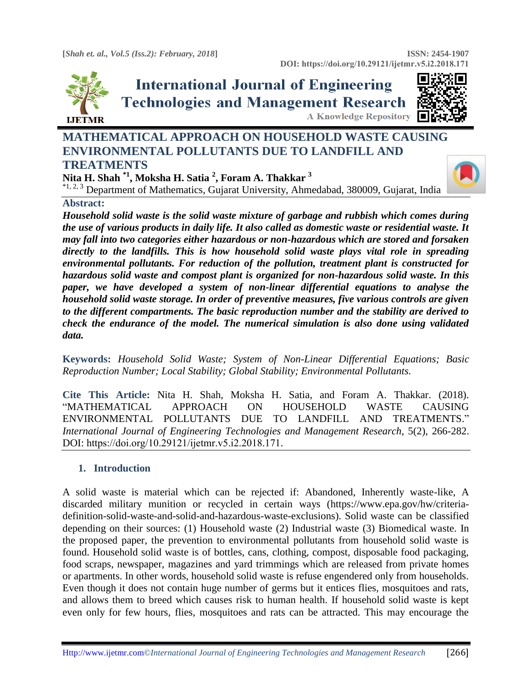

# **International Journal of Engineering Technologies and Management Research A Knowledge Repository**



# **MATHEMATICAL APPROACH ON HOUSEHOLD WASTE CAUSING ENVIRONMENTAL POLLUTANTS DUE TO LANDFILL AND TREATMENTS**

**Nita H. Shah \*1 , Moksha H. Satia <sup>2</sup> , Foram A. Thakkar <sup>3</sup>**

<sup>\*1, 2, 3</sup> Department of Mathematics, Gujarat University, Ahmedabad, 380009, Gujarat, India

# **Abstract:**

*Household solid waste is the solid waste mixture of garbage and rubbish which comes during the use of various products in daily life. It also called as domestic waste or residential waste. It may fall into two categories either hazardous or non-hazardous which are stored and forsaken directly to the landfills. This is how household solid waste plays vital role in spreading environmental pollutants. For reduction of the pollution, treatment plant is constructed for hazardous solid waste and compost plant is organized for non-hazardous solid waste. In this paper, we have developed a system of non-linear differential equations to analyse the household solid waste storage. In order of preventive measures, five various controls are given to the different compartments. The basic reproduction number and the stability are derived to check the endurance of the model. The numerical simulation is also done using validated data.*

**Keywords:** *Household Solid Waste; System of Non-Linear Differential Equations; Basic Reproduction Number; Local Stability; Global Stability; Environmental Pollutants.* 

**Cite This Article:** Nita H. Shah, Moksha H. Satia, and Foram A. Thakkar. (2018). "MATHEMATICAL APPROACH ON HOUSEHOLD WASTE CAUSING ENVIRONMENTAL POLLUTANTS DUE TO LANDFILL AND TREATMENTS." *International Journal of Engineering Technologies and Management Research, 5(2), 266-282.* DOI: https://doi.org/10.29121/ijetmr.v5.i2.2018.171.

# **1. Introduction**

A solid waste is material which can be rejected if: Abandoned, Inherently waste-like, A discarded military munition or recycled in certain ways (https://www.epa.gov/hw/criteriadefinition-solid-waste-and-solid-and-hazardous-waste-exclusions). Solid waste can be classified depending on their sources: (1) Household waste (2) Industrial waste (3) Biomedical waste. In the proposed paper, the prevention to environmental pollutants from household solid waste is found. Household solid waste is of bottles, cans, clothing, compost, disposable food packaging, food scraps, newspaper, magazines and yard trimmings which are released from private homes or apartments. In other words, household solid waste is refuse engendered only from households. Even though it does not contain huge number of germs but it entices flies, mosquitoes and rats, and allows them to breed which causes risk to human health. If household solid waste is kept even only for few hours, flies, mosquitoes and rats can be attracted. This may encourage the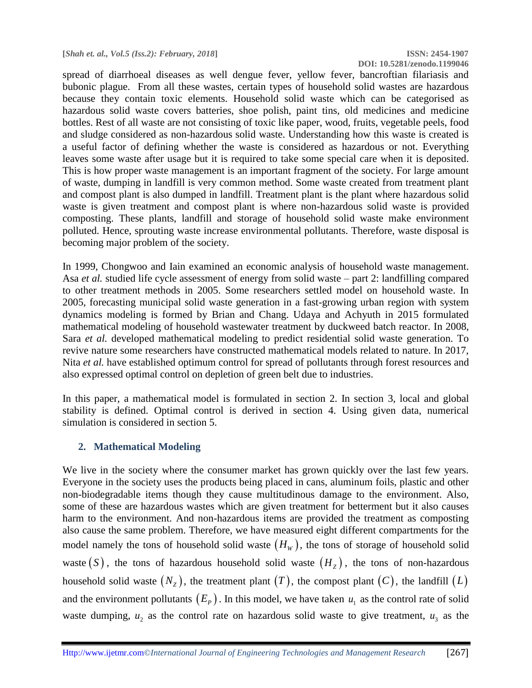spread of diarrhoeal diseases as well dengue fever, yellow fever, bancroftian filariasis and bubonic plague. From all these wastes, certain types of household solid wastes are hazardous because they contain toxic elements. Household solid waste which can be categorised as hazardous solid waste covers batteries, shoe polish, paint tins, old medicines and medicine bottles. Rest of all waste are not consisting of toxic like paper, wood, fruits, vegetable peels, food and sludge considered as non-hazardous solid waste. Understanding how this waste is created is a useful factor of defining whether the waste is considered as hazardous or not. Everything leaves some waste after usage but it is required to take some special care when it is deposited. This is how proper waste management is an important fragment of the society. For large amount of waste, dumping in landfill is very common method. Some waste created from treatment plant and compost plant is also dumped in landfill. Treatment plant is the plant where hazardous solid waste is given treatment and compost plant is where non-hazardous solid waste is provided composting. These plants, landfill and storage of household solid waste make environment polluted. Hence, sprouting waste increase environmental pollutants. Therefore, waste disposal is becoming major problem of the society.

In 1999, Chongwoo and Iain examined an economic analysis of household waste management. Asa *et al.* studied life cycle assessment of energy from solid waste – part 2: landfilling compared to other treatment methods in 2005. Some researchers settled model on household waste. In 2005, forecasting municipal solid waste generation in a fast-growing urban region with system dynamics modeling is formed by Brian and Chang. Udaya and Achyuth in 2015 formulated mathematical modeling of household wastewater treatment by duckweed batch reactor. In 2008, Sara *et al.* developed mathematical modeling to predict residential solid waste generation. To revive nature some researchers have constructed mathematical models related to nature. In 2017, Nita *et al.* have established optimum control for spread of pollutants through forest resources and also expressed optimal control on depletion of green belt due to industries.

In this paper, a mathematical model is formulated in section 2. In section 3, local and global stability is defined. Optimal control is derived in section 4. Using given data, numerical simulation is considered in section 5.

# **2. Mathematical Modeling**

We live in the society where the consumer market has grown quickly over the last few years. Everyone in the society uses the products being placed in cans, aluminum foils, plastic and other non-biodegradable items though they cause multitudinous damage to the environment. Also, some of these are hazardous wastes which are given treatment for betterment but it also causes harm to the environment. And non-hazardous items are provided the treatment as composting also cause the same problem. Therefore, we have measured eight different compartments for the model namely the tons of household solid waste  $(H_w)$ , the tons of storage of household solid waste  $(S)$ , the tons of hazardous household solid waste  $(H<sub>Z</sub>)$ , the tons of non-hazardous household solid waste  $(N_z)$ , the treatment plant  $(T)$ , the compost plant  $(C)$ , the landfill  $(L)$ and the environment pollutants  $(E_p)$ . In this model, we have taken  $u_1$  as the control rate of solid waste dumping,  $u_2$  as the control rate on hazardous solid waste to give treatment,  $u_3$  as the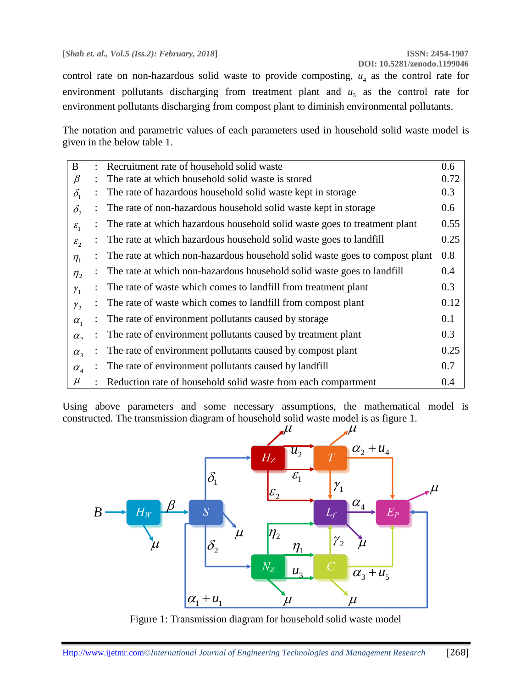control rate on non-hazardous solid waste to provide composting,  $u_4$  as the control rate for environment pollutants discharging from treatment plant and  $u<sub>5</sub>$  as the control rate for environment pollutants discharging from compost plant to diminish environmental pollutants.

The notation and parametric values of each parameters used in household solid waste model is given in the below table 1.

| $\bf{B}$                        | Recruitment rate of household solid waste                                   | 0.6  |
|---------------------------------|-----------------------------------------------------------------------------|------|
| β                               | The rate at which household solid waste is stored                           | 0.72 |
| $\delta_{1}$                    | The rate of hazardous household solid waste kept in storage                 | 0.3  |
| $\delta_{2}$                    | The rate of non-hazardous household solid waste kept in storage             | 0.6  |
| $\varepsilon_1$                 | The rate at which hazardous household solid waste goes to treatment plant   | 0.55 |
| $\varepsilon_{2}$               | The rate at which hazardous household solid waste goes to landfill          | 0.25 |
| $\eta_1$                        | The rate at which non-hazardous household solid waste goes to compost plant | 0.8  |
| $\eta_{2}$                      | The rate at which non-hazardous household solid waste goes to landfill      | 0.4  |
| $\gamma_{1}$                    | The rate of waste which comes to landfill from treatment plant              | 0.3  |
| $\mathcal{Y}_2$                 | The rate of waste which comes to landfill from compost plant                | 0.12 |
| $\alpha_{1}$                    | The rate of environment pollutants caused by storage                        | 0.1  |
| $\alpha$ ,                      | The rate of environment pollutants caused by treatment plant                | 0.3  |
| $\alpha_{3}$                    | The rate of environment pollutants caused by compost plant                  | 0.25 |
| $\alpha_{\scriptscriptstyle 4}$ | The rate of environment pollutants caused by landfill                       | 0.7  |
| $\mu$                           | Reduction rate of household solid waste from each compartment               | 0.4  |

Using above parameters and some necessary assumptions, the mathematical model is constructed. The transmission diagram of household solid waste model is as figure 1.



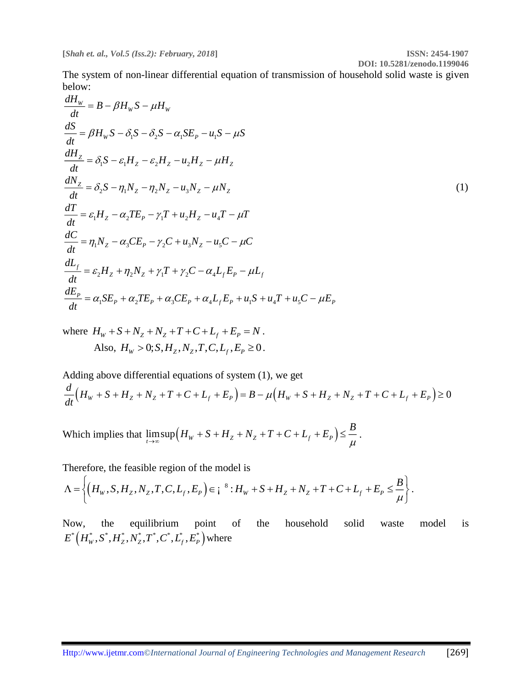**DOI: 10.5281/zenodo.1199046**

The system of non-linear differential equation of transmission of household solid waste is given below:

 $\frac{dH_w}{dt} = B - \beta H_w S - \mu H_w$  $\frac{d\mathbf{H}_W}{dt} = B - \beta H_W S - \mu.$  $\frac{dS}{dt} = \beta H_w S - \delta_1 S - \delta_2 S - \alpha_1 S E_p - u_1 S - \mu S$  $\frac{dS}{dt} = \beta H_W S - \delta_1 S - \delta_2 S - \alpha_1 SE_P - u_1 S - \mu_2$  $\frac{dH_Z}{dt} = \delta_1 S - \varepsilon_1 H_Z - \varepsilon_2 H_Z - u_2 H_Z - \mu H_Z$  $\frac{d^{2}z}{dt} = \delta_{1}S - \varepsilon_{1}H_{Z} - \varepsilon_{2}H_{Z} - u_{2}H_{Z} - \mu_{Z}$  $\frac{dN_z}{dt} = \delta_2 S - \eta_1 N_z - \eta_2 N_z - u_3 N_z - \mu N_z$  $\frac{d^{2}V_{Z}}{dt} = \delta_{2}S - \eta_{1}N_{Z} - \eta_{2}N_{Z} - u_{3}N_{Z} - \mu N_{Z}$ (1)  $\frac{dT}{dt} = \varepsilon_1 H_Z - \alpha_2 T E_P - \gamma_1 T + u_2 H_Z - u_4 T - \mu T$  $\frac{d\mathbf{d}t}{dt} = \mathcal{E}_1 H_Z - \alpha_2 T E_p - \gamma_1 T + u_2 H_Z - u_4 T - \mu$  $\frac{dC}{dt} = \eta_1 N_z - \alpha_3 C E_p - \gamma_2 C + u_3 N_z - u_5 C - \mu C$  $\frac{d\mathbf{x}}{dt} = \eta_1 N_z - \alpha_3 C E_p - \gamma_2 C + u_3 N_z - u_5 C - \mu^2$  $\frac{f}{f} = \varepsilon_2 H_z + \eta_2 N_z + \gamma_1 T + \gamma_2 C - \alpha_4$  $Z$   $\frac{1}{2}$  $\frac{1}{2}$  $\frac{1}{2}$  $\frac{1}{2}$  $\frac{1}{2}$  $\frac{1}{2}$  $\frac{1}{2}$  $\frac{1}{2}$  $\frac{1}{2}$  $\frac{1}{2}$  $\frac{1}{2}$  $\frac{1}{2}$  $\frac{1}{2}$  $\frac{1}{2}$  $\frac{1}{2}$  $\frac{1}{2}$  $\frac{1}{2}$  $\frac{1}{2}$  $\frac{1}{2}$  $\frac{1}{2}$  $\frac{1}{2}$  *\frac{1}{ dL*  $H_a + n_2 N_a + \gamma T + \gamma_2 C - \alpha_4 L_c E_p - \mu L$  $\frac{d}{dt} = \varepsilon_2 H_Z + \eta_2 N_Z + \gamma_1 T + \gamma_2 C - \alpha_4 L_f E_P - \mu.$  $\frac{dE_{P}}{dt} = \alpha_{1}SE_{P} + \alpha_{2}TE_{P} + \alpha_{3}CE_{P} + \alpha_{4}L_{f}E_{P} + u_{1}S + u_{4}T + u_{5}C - \mu E_{P}$  $\frac{dI}{dt} = \alpha_1 SE_p + \alpha_2 TE_p + \alpha_3 CE_p + \alpha_4 L_f E_p + u_1 S + u_4 T + u_5 C - \mu_5$ 

where  $H_W + S + N_Z + N_Z + T + C + L_f + E_P = N$ . Also,  $H_w > 0$ ;  $S, H_z, N_z, T, C, L_f, E_p \ge 0$ .

Adding above differential equations of system (1), we get  $\frac{d}{dt}(H_w + S + H_z + N_z + T + C + L_f + E_p) = B - \mu \left(H_w + S + H_z + N_z + T + C + L_f + E_p\right) \ge 0$  $\frac{1}{dt}(H_{w}+S+H_{z}+N_{z}+T+C+L_{f}+E_{P})=B-\mu(H_{w}+S+H_{z}+N_{z}+T+C+L_{f}+E_{P})\geq$ 

Which implies that  $\lim_{t \to \infty} \sup (H_w + S + H_z + N_z + T + C + L_f + E_p)$  $H_w + S + H_z + N_z + T + C + L_z + E_n$ )  $\leq \frac{B}{2}$  $\rightarrow \infty$  , and the set of  $\mu$  $+ S + H_{z} + N_{z} + T + C + L_{f} + E_{p}$   $\leq -$ .

Therefore, the feasible region of the model is

$$
\Lambda = \left\{ \left( H_W, S, H_Z, N_Z, T, C, L_f, E_P \right) \in i^{8} : H_W + S + H_Z + N_Z + T + C + L_f + E_P \leq \frac{B}{\mu} \right\}.
$$

Now, the equilibrium point of the household solid waste model is  ${E}^*\Big({H}_{\rm{W}}^*, {S}^*, {H}_{\rm{Z}}^*, {\N}_{\rm{Z}}^*, {T}^*, {C}^*, {L}_{\rm{f}}^*, {E}_{\rm{P}}^*\Big)$  where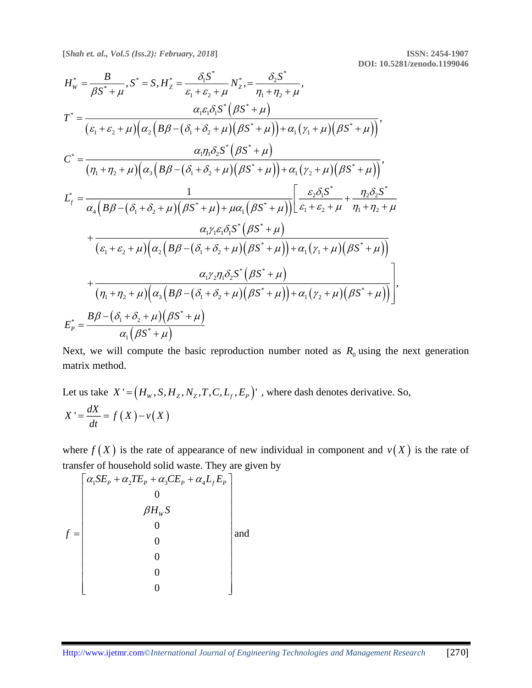**DOI: 10.5281/zenodo.1199046**

$$
H_{w}^{*} = \frac{B}{\beta S^{*} + \mu}, S^{*} = S, H_{Z}^{*} = \frac{\delta_{1}S^{*}}{\epsilon_{1} + \epsilon_{2} + \mu} N_{Z}^{*}, = \frac{\delta_{2}S^{*}}{\eta_{1} + \eta_{2} + \mu},
$$
\n
$$
T^{*} = \frac{\alpha_{1}\epsilon_{1}\delta_{1}S^{*}(\beta S^{*} + \mu)}{(\epsilon_{1} + \epsilon_{2} + \mu)(\alpha_{2}(B\beta - (\delta_{1} + \delta_{2} + \mu)(\beta S^{*} + \mu)) + \alpha_{1}(\gamma_{1} + \mu)(\beta S^{*} + \mu))},
$$
\n
$$
C^{*} = \frac{\alpha_{1}\eta_{1}\delta_{2}S^{*}(\beta S^{*} + \mu)}{(\eta_{1} + \eta_{2} + \mu)(\alpha_{3}(B\beta - (\delta_{1} + \delta_{2} + \mu)(\beta S^{*} + \mu)) + \alpha_{1}(\gamma_{2} + \mu)(\beta S^{*} + \mu))},
$$
\n
$$
L_{f}^{*} = \frac{1}{\alpha_{4}(B\beta - (\delta_{1} + \delta_{2} + \mu)(\beta S^{*} + \mu) + \mu\alpha_{1}(\beta S^{*} + \mu))} \left[\frac{\epsilon_{2}\delta_{1}S^{*}}{\epsilon_{1} + \epsilon_{2} + \mu} + \frac{\eta_{2}\delta_{2}S^{*}}{\eta_{1} + \eta_{2} + \mu} + \frac{\alpha_{1}\gamma_{1}\epsilon_{1}\delta_{1}S^{*}(\beta S^{*} + \mu)}{(\epsilon_{1} + \epsilon_{2} + \mu)(\alpha_{2}(B\beta - (\delta_{1} + \delta_{2} + \mu)(\beta S^{*} + \mu)) + \alpha_{1}(\gamma_{1} + \mu)(\beta S^{*} + \mu))}\right]
$$
\n
$$
+ \frac{\alpha_{1}\gamma_{2}\eta_{1}\delta_{2}S^{*}(\beta S^{*} + \mu)}{(\eta_{1} + \eta_{2} + \mu)(\alpha_{3}(B\beta - (\delta_{1} + \delta_{2} + \mu)(\beta S^{*} + \mu)) + \alpha_{1}(\gamma_{2} + \mu)(\beta S^{*} + \mu))}\right]
$$
\n
$$
E_{p}^{*} = \frac{B\beta - (\delta_{1} + \delta_{2} + \mu)(\beta S^{*} + \mu)}
$$

Next, we will compute the basic reproduction number noted as  $R_0$  using the next generation matrix method.

Let us take 
$$
X' = (H_w, S, H_z, N_z, T, C, L_f, E_p)'
$$
, where dash denotes derivative. So,  
\n
$$
X' = \frac{dX}{dt} = f(X) - v(X)
$$

where  $f(X)$  is the rate of appearance of new individual in component and  $v(X)$  is the rate of transfer of household solid waste. They are given by

$$
f = \begin{bmatrix} \alpha_1 SE_p + \alpha_2 TE_p + \alpha_3 CE_p + \alpha_4 L_f E_p \\ 0 \\ \beta H_w S \\ 0 \\ 0 \\ 0 \\ 0 \end{bmatrix}
$$
 and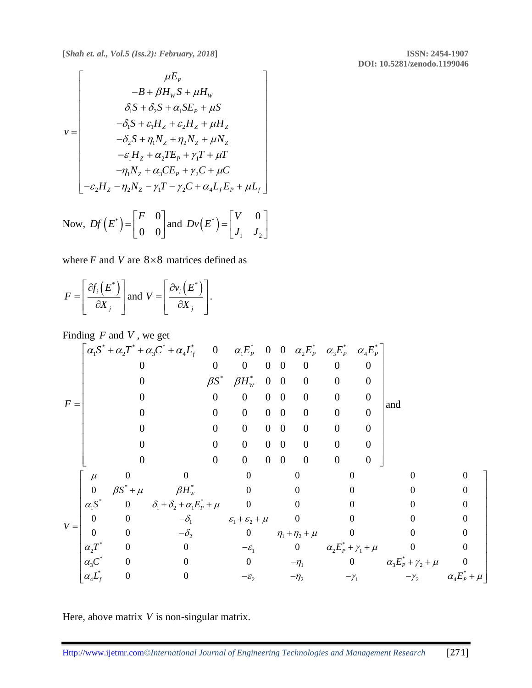**DOI: 10.5281/zenodo.1199046**

$$
v = \begin{bmatrix} \mu E_P \\ -B + \beta H_W S + \mu H_W \\ \delta_1 S + \delta_2 S + \alpha_1 S E_P + \mu S \\ -\delta_1 S + \varepsilon_1 H_Z + \varepsilon_2 H_Z + \mu H_Z \\ -\delta_2 S + \eta_1 N_Z + \eta_2 N_Z + \mu N_Z \\ -\varepsilon_1 H_Z + \alpha_2 T E_P + \gamma_1 T + \mu T \\ -\eta_1 N_Z + \alpha_3 C E_P + \gamma_2 C + \mu C \\ -\varepsilon_2 H_Z - \eta_2 N_Z - \gamma_1 T - \gamma_2 C + \alpha_4 L_f E_P + \mu L_f \end{bmatrix}
$$
  
\nNow,  $Df(E^*) = \begin{bmatrix} F & 0 \\ 0 & 0 \end{bmatrix}$  and  $Dv(E^*) = \begin{bmatrix} V & 0 \\ J_1 & J_2 \end{bmatrix}$ 

where  $F$  and  $V$  are  $8 \times 8$  matrices defined as

$$
F = \left[\frac{\partial f_i(E^*)}{\partial X_j}\right] \text{and } V = \left[\frac{\partial v_i(E^*)}{\partial X_j}\right].
$$

Finding *F* and *V* , we get

$$
F = \begin{bmatrix} \alpha_1 S^* + \alpha_2 T^* + \alpha_3 C^* + \alpha_4 L_f^* & 0 & \alpha_1 E_p^* & 0 & 0 & \alpha_2 E_p^* & \alpha_3 E_p^* & \alpha_4 E_p^* \\ 0 & 0 & 0 & 0 & 0 & 0 & 0 & 0 \\ 0 & \beta S^* & \beta H_w^* & 0 & 0 & 0 & 0 & 0 \\ 0 & 0 & 0 & 0 & 0 & 0 & 0 & 0 \\ 0 & 0 & 0 & 0 & 0 & 0 & 0 & 0 \\ 0 & 0 & 0 & 0 & 0 & 0 & 0 & 0 \\ 0 & 0 & 0 & 0 & 0 & 0 & 0 & 0 \\ 0 & \beta S^* + \mu & \beta H_w^* & 0 & 0 & 0 & 0 & 0 \\ \alpha_1 S^* & 0 & \delta_1 + \delta_2 + \alpha_1 E_p^* + \mu & 0 & 0 & 0 & 0 & 0 \\ 0 & 0 & -\delta_1 & \epsilon_1 + \epsilon_2 + \mu & 0 & 0 & 0 & 0 \\ 0 & 0 & -\delta_2 & 0 & \eta_1 + \eta_2 + \mu & 0 & 0 & 0 \\ \alpha_2 T^* & 0 & 0 & -\epsilon_1 & 0 & \alpha_2 E_p^* + \gamma_1 + \mu & 0 & 0 \\ \alpha_3 C^* & 0 & 0 & 0 & -\eta_1 & 0 & \alpha_3 E_p^* + \gamma_2 + \mu & 0 \\ \alpha_4 L_f^* & 0 & 0 & -\epsilon_2 & -\eta_2 & -\gamma_1 & -\gamma_2 & \alpha_4 E_p^* + \mu \end{bmatrix}
$$

 $1 \quad$   $2 \quad$ 

Here, above matrix *V* is non-singular matrix.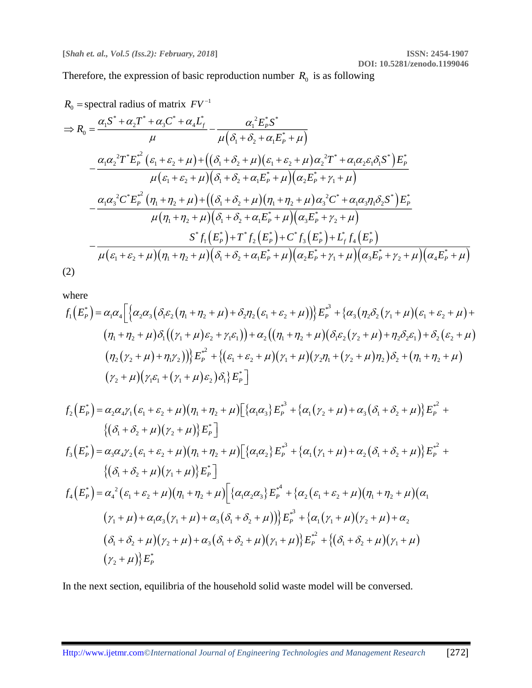Therefore, the expression of basic reproduction number  $R_0$  is as following

$$
R_0 = \text{spectral radius of matrix } FV^{-1}
$$
\n
$$
\Rightarrow R_0 = \frac{\alpha_1 S^* + \alpha_2 T^* + \alpha_3 C^* + \alpha_4 L_f^*}{\mu} - \frac{\alpha_1^2 E_p^* S^*}{\mu (\delta_1 + \delta_2 + \alpha_1 E_p^* + \mu)}
$$
\n
$$
-\frac{\alpha_1 \alpha_2^2 T^* E_p^{*^2} (\varepsilon_1 + \varepsilon_2 + \mu) + ((\delta_1 + \delta_2 + \mu)(\varepsilon_1 + \varepsilon_2 + \mu) \alpha_2^2 T^* + \alpha_1 \alpha_2 \varepsilon_1 \delta_1 S^*) E_p^*}{\mu (\varepsilon_1 + \varepsilon_2 + \mu)(\delta_1 + \delta_2 + \alpha_1 E_p^* + \mu)(\alpha_2 E_p^* + \gamma_1 + \mu)}
$$
\n
$$
-\frac{\alpha_1 \alpha_3^2 C^* E_p^{*^2} (\eta_1 + \eta_2 + \mu) + ((\delta_1 + \delta_2 + \mu)(\eta_1 + \eta_2 + \mu) \alpha_3^2 C^* + \alpha_1 \alpha_3 \eta_1 \delta_2 S^*) E_p^*}{\mu (\eta_1 + \eta_2 + \mu)(\delta_1 + \delta_2 + \alpha_1 E_p^* + \mu)(\alpha_3 E_p^* + \gamma_2 + \mu)}
$$
\n
$$
-\frac{S^* f_1 (E_p^*) + T^* f_2 (E_p^*) + C^* f_3 (E_p^*) + L_f^* f_4 (E_p^*)}{\mu (\varepsilon_1 + \varepsilon_2 + \mu)(\eta_1 + \eta_2 + \mu)(\delta_1 + \delta_2 + \alpha_1 E_p^* + \mu)(\alpha_2 E_p^* + \gamma_1 + \mu)(\alpha_3 E_p^* + \gamma_2 + \mu)(\alpha_4 E_p^* + \mu)}
$$
\n(2)

where

$$
f_1(E_p^*) = \alpha_1 \alpha_4 \Big[ \Big\{ \alpha_2 \alpha_3 \Big( \delta_1 \varepsilon_2 \big( \eta_1 + \eta_2 + \mu \big) + \delta_2 \eta_2 \big( \varepsilon_1 + \varepsilon_2 + \mu \big) \Big) \Big\} E_p^{*3} + \Big\{ \alpha_3 \big( \eta_2 \delta_2 \big( \gamma_1 + \mu \big) \big( \varepsilon_1 + \varepsilon_2 + \mu \big) + \Big( \eta_1 + \eta_2 + \mu \big) \delta_1 \big( \big( \gamma_1 + \mu \big) \varepsilon_2 + \gamma_1 \varepsilon_1 \big) \Big) + \alpha_2 \big( \big( \eta_1 + \eta_2 + \mu \big) \big( \delta_1 \varepsilon_2 \big( \gamma_2 + \mu \big) + \eta_2 \delta_2 \varepsilon_1 \big) + \delta_2 \big( \varepsilon_2 + \mu \big) \Big( \eta_2 \big( \gamma_2 + \mu \big) + \eta_1 \gamma_2 \big) \Big) \Big\} E_p^{*2} + \Big\{ \big( \varepsilon_1 + \varepsilon_2 + \mu \big) \big( \gamma_1 + \mu \big) \big( \gamma_2 \eta_1 + \big( \gamma_2 + \mu \big) \eta_2 \big) \delta_2 + \big( \eta_1 + \eta_2 + \mu \big) \Big( \gamma_2 + \mu \big) \big( \gamma_1 \varepsilon_1 + \big( \gamma_1 + \mu \big) \varepsilon_2 \big) \delta_1 \Big\} E_p^* \Big]
$$

$$
f_{2}(E_{P}^{*}) = \alpha_{2}\alpha_{4}\gamma_{1}(\varepsilon_{1} + \varepsilon_{2} + \mu)(\eta_{1} + \eta_{2} + \mu)[\{\alpha_{1}\alpha_{3}\}E_{P}^{*^{3}} + \{\alpha_{1}(\gamma_{2} + \mu) + \alpha_{3}(\delta_{1} + \delta_{2} + \mu)\}E_{P}^{*^{2}} + \{(\delta_{1} + \delta_{2} + \mu)(\gamma_{2} + \mu)\}E_{P}^{*}]
$$
  
\n
$$
f_{3}(E_{P}^{*}) = \alpha_{3}\alpha_{4}\gamma_{2}(\varepsilon_{1} + \varepsilon_{2} + \mu)(\eta_{1} + \eta_{2} + \mu)[\{\alpha_{1}\alpha_{2}\}E_{P}^{*^{3}} + \{\alpha_{1}(\gamma_{1} + \mu) + \alpha_{2}(\delta_{1} + \delta_{2} + \mu)\}E_{P}^{*^{2}} + \{(\delta_{1} + \delta_{2} + \mu)(\gamma_{1} + \mu)\}E_{P}^{*}]
$$
  
\n
$$
f_{4}(E_{P}^{*}) = \alpha_{4}^{2}(\varepsilon_{1} + \varepsilon_{2} + \mu)(\eta_{1} + \eta_{2} + \mu)[\{\alpha_{1}\alpha_{2}\alpha_{3}\}E_{P}^{*^{4}} + \{\alpha_{2}(\varepsilon_{1} + \varepsilon_{2} + \mu)(\eta_{1} + \eta_{2} + \mu)(\alpha_{1} + \mu)(\eta_{1} + \mu)(\alpha_{1} + \mu)(\eta_{1} + \mu)(\alpha_{1} + \mu)(\alpha_{2} + \mu)(\alpha_{3}(\eta_{1} + \mu) + \alpha_{3}(\delta_{1} + \delta_{2} + \mu))\}E_{P}^{*^{3}} + \{\alpha_{1}(\eta_{1} + \mu)(\eta_{2} + \mu) + \alpha_{2}(\delta_{1} + \delta_{2} + \mu)(\eta_{2} + \mu)(\eta_{2} + \mu)(\alpha_{2} + \mu)(\eta_{1} + \mu)(\alpha_{3} + \mu)(\alpha_{2} + \mu)(\alpha_{3} + \mu)(\alpha_{3} + \mu)(\alpha_{3} + \mu)(\alpha_{3} + \mu)(\alpha_{3} + \mu)(\alpha_{3} + \mu)(\alpha_{3} + \mu)(\alpha_{3} + \mu)(\alpha_{3} + \mu)(\alpha_{3} + \mu)(\alpha_{3
$$

In the next section, equilibria of the household solid waste model will be conversed.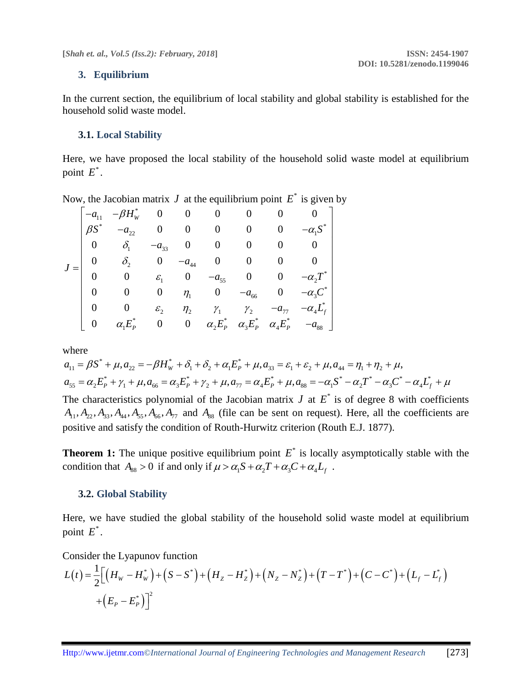# **3. Equilibrium**

In the current section, the equilibrium of local stability and global stability is established for the household solid waste model.

### **3.1. Local Stability**

Here, we have proposed the local stability of the household solid waste model at equilibrium point  $E^*$ .

Now, the Jacobian matrix  $J$  at the equilibrium point  $E^*$  is given by

|  |                | $-a_{11}$ $-\beta H_w^*$ 0 0 0 0 0       |                        |                  |                            |                                         |                                                                          |
|--|----------------|------------------------------------------|------------------------|------------------|----------------------------|-----------------------------------------|--------------------------------------------------------------------------|
|  | $\beta S^*$    | $-a_{22}$                                |                        |                  |                            | $0 \qquad 0 \qquad 0 \qquad 0 \qquad 0$ |                                                                          |
|  |                | $0 \qquad \delta_{\scriptscriptstyle 1}$ | $-a_{33}$              |                  |                            |                                         | $0 \qquad 0 \qquad 0 \qquad 0 \qquad 0$                                  |
|  | $\overline{0}$ | $\delta_2$ 0                             |                        |                  |                            | $-a_{44}$ 0 0 0                         | $0 \mid$                                                                 |
|  |                |                                          |                        |                  |                            |                                         | 0 $\varepsilon_1$ 0 $-a_{55}$ 0 0 $-a_2T^*$                              |
|  |                | $\mathbf{0}$                             |                        |                  |                            |                                         | 0 $\eta_1$ 0 $-a_{66}$ 0 $-a_{3}C^*$                                     |
|  |                |                                          | $\mathcal{E}_{\gamma}$ | $\eta$ ,         | $\gamma_1 \qquad \gamma_2$ | $-a_{77}$                               | $-\alpha_4 L_f^*$                                                        |
|  | $\overline{0}$ | $\alpha_1 E_p^* = 0$                     |                        | $\boldsymbol{0}$ |                            |                                         | $\alpha_2 E_P^* \quad \alpha_3 E_P^* \quad \alpha_4 E_P^* \quad -a_{88}$ |

where

$$
a_{11} = \beta S^* + \mu, a_{22} = -\beta H_W^* + \delta_1 + \delta_2 + \alpha_1 E_P^* + \mu, a_{33} = \varepsilon_1 + \varepsilon_2 + \mu, a_{44} = \eta_1 + \eta_2 + \mu,
$$
  

$$
a_{55} = \alpha_2 E_P^* + \gamma_1 + \mu, a_{66} = \alpha_3 E_P^* + \gamma_2 + \mu, a_{77} = \alpha_4 E_P^* + \mu, a_{88} = -\alpha_1 S^* - \alpha_2 T^* - \alpha_3 C^* - \alpha_4 L_f^* + \mu
$$

The characteristics polynomial of the Jacobian matrix  $J$  at  $E^*$  is of degree 8 with coefficients  $A_{11}$ ,  $A_{22}$ ,  $A_{33}$ ,  $A_{44}$ ,  $A_{55}$ ,  $A_{66}$ ,  $A_{77}$  and  $A_{88}$  (file can be sent on request). Here, all the coefficients are positive and satisfy the condition of Routh-Hurwitz criterion (Routh E.J. 1877).

**Theorem 1:** The unique positive equilibrium point  $E^*$  is locally asymptotically stable with the condition that  $A_{88} > 0$  if and only if  $\mu > \alpha_1 S + \alpha_2 T + \alpha_3 C + \alpha_4 L_f$ .

#### **3.2. Global Stability**

Here, we have studied the global stability of the household solid waste model at equilibrium point  $E^*$ .

Consider the Lyapunov function

$$
L(t) = \frac{1}{2} \Big[ \Big( H_w - H_w^* \Big) + \Big( S - S^* \Big) + \Big( H_z - H_z^* \Big) + \Big( N_z - N_z^* \Big) + \Big( T - T^* \Big) + \Big( C - C^* \Big) + \Big( L_f - L_f^* \Big) + \Big( E_p - E_p^* \Big) \Big]^2
$$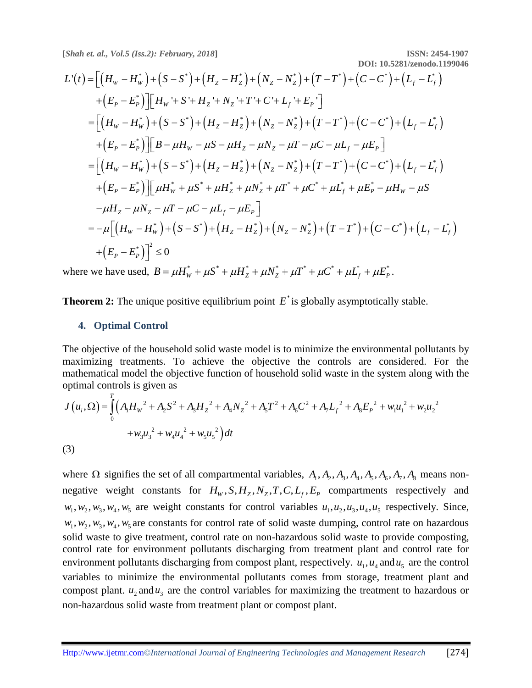**DOI: 10.5281/zenodo.1199046**

$$
L'(t) = \left[ (H_W - H_W^*) + (S - S^*) + (H_Z - H_Z^*) + (N_Z - N_Z^*) + (T - T^*) + (C - C^*) + (L_f - L_f^*) + (E_f - E_f^*) \right] \right]
$$
  
+  $(E_f - E_f^*)$   $\left[ H_W^* + S^* + H_Z^* + N_Z^* + T^* + C^* + L_f^* + E_f^* \right]$   
=  $\left[ (H_W - H_W^*) + (S - S^*) + (H_Z - H_Z^*) + (N_Z - N_Z^*) + (T - T^*) + (C - C^*) + (L_f - L_f^*) \right]$   
+  $(E_f - E_f^*)$   $\left[ B - \mu H_W - \mu S - \mu H_Z - \mu N_Z - \mu T - \mu C - \mu L_f - \mu E_f \right]$   
=  $\left[ (H_W - H_W^*) + (S - S^*) + (H_Z - H_Z^*) + (N_Z - N_Z^*) + (T - T^*) + (C - C^*) + (L_f - L_f^*) \right]$   
+  $(E_f - E_f^*)$   $\left[ \mu H_W^* + \mu S^* + \mu H_Z^* + \mu N_Z^* + \mu T^* + \mu C^* + \mu L_f^* + \mu E_f^* - \mu H_W - \mu S \right]$   
=  $-\mu [ (H_W - H_W^*) + (S - S^*) + (H_Z - H_Z^*) + (N_Z - N_Z^*) + (T - T^*) + (C - C^*) + (L_f - L_f^*) \right]$   
+  $(E_f - E_f^*)$   $\right]^2 \le 0$   
where we have used,  $B = \mu H^* + \mu S^* + \mu H^* + \mu N^* + \mu T^* + \mu C^* + \mu I^* + \mu F^*$ 

where we have used,  $B = \mu H_w^* + \mu S^* + \mu H_Z^* + \mu N_Z^* + \mu T^* + \mu C^* + \mu L_f^* + \mu E_P^*$ .

**Theorem 2:** The unique positive equilibrium point  $E^*$  is globally asymptotically stable.

#### **4. Optimal Control**

The objective of the household solid waste model is to minimize the environmental pollutants by maximizing treatments. To achieve the objective the controls are considered. For the mathematical model the objective function of household solid waste in the system along with the optimal controls is given as

$$
J(u_i, \Omega) = \int_0^T \left( A_1 H_w^2 + A_2 S^2 + A_3 H_z^2 + A_4 N_z^2 + A_5 T^2 + A_6 C^2 + A_7 L_f^2 + A_8 E_P^2 + w_1 u_1^2 + w_2 u_2^2 + w_3 u_3^2 + w_4 u_4^2 + w_5 u_5^2 \right) dt
$$
\n(3)

where  $\Omega$  signifies the set of all compartmental variables,  $A_1, A_2, A_3, A_4, A_5, A_6, A_7, A_8$  means nonnegative weight constants for  $H_w$ ,  $S$ ,  $H_z$ ,  $N_z$ ,  $T$ ,  $C$ ,  $L_f$ ,  $E_p$  compartments respectively and  $w_1, w_2, w_3, w_4, w_5$  are weight constants for control variables  $u_1, u_2, u_3, u_4, u_5$  respectively. Since,  $w_1, w_2, w_3, w_4, w_5$  are constants for control rate of solid waste dumping, control rate on hazardous solid waste to give treatment, control rate on non-hazardous solid waste to provide composting, control rate for environment pollutants discharging from treatment plant and control rate for environment pollutants discharging from compost plant, respectively.  $u_1, u_4$  and  $u_5$  are the control variables to minimize the environmental pollutants comes from storage, treatment plant and compost plant.  $u_2$  and  $u_3$  are the control variables for maximizing the treatment to hazardous or non-hazardous solid waste from treatment plant or compost plant.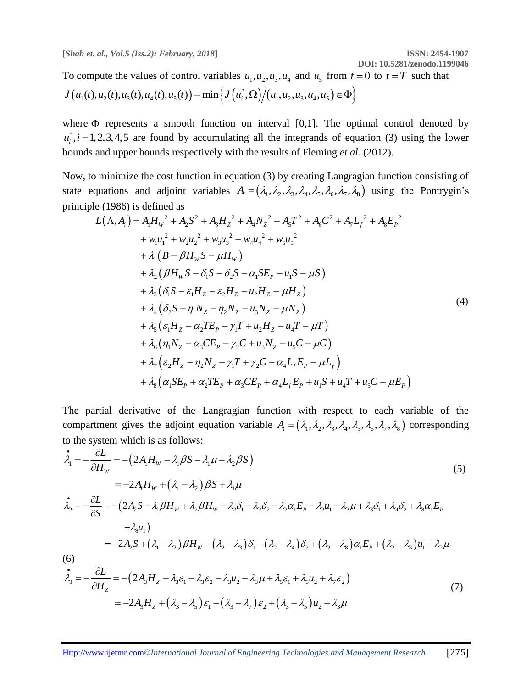**DOI: 10.5281/zenodo.1199046**

To compute the values of control variables  $u_1, u_2, u_3, u_4$  and  $u_5$  from  $t = 0$  to  $t = T$  such that  $J(u_1(t), u_2(t), u_3(t), u_4(t), u_5(t)) = \min \left\{ J(u_i^*, \Omega) / (u_1, u_2, u_3, u_4, u_5) \in \Phi \right\}$ 

where  $\Phi$  represents a smooth function on interval  $[0,1]$ . The optimal control denoted by  $u_i^*$ ,  $i = 1, 2, 3, 4, 5$  are found by accumulating all the integrands of equation (3) using the lower bounds and upper bounds respectively with the results of Fleming *et al.* (2012).

Now, to minimize the cost function in equation (3) by creating Langragian function consisting of state equations and adjoint variables  $A_i = (\lambda_1, \lambda_2, \lambda_3, \lambda_4, \lambda_5, \lambda_6, \lambda_7, \lambda_8)$  using the Pontrygin's principle (1986) is defined as

$$
L(\Lambda, A_{i}) = A_{1}H_{w}^{2} + A_{2}S^{2} + A_{3}H_{z}^{2} + A_{4}N_{z}^{2} + A_{5}T^{2} + A_{6}C^{2} + A_{7}L_{f}^{2} + A_{8}E_{p}^{2}
$$
  
+  $w_{1}u_{1}^{2} + w_{2}u_{2}^{2} + w_{3}u_{3}^{2} + w_{4}u_{4}^{2} + w_{5}u_{5}^{2}$   
+  $\lambda_{1}(B - \beta H_{w}S - \mu H_{w})$   
+  $\lambda_{2}(\beta H_{w}S - \delta_{1}S - \delta_{2}S - \alpha_{1}SE_{p} - u_{1}S - \mu S)$   
+  $\lambda_{3}(\delta_{1}S - \varepsilon_{1}H_{Z} - \varepsilon_{2}H_{Z} - u_{2}H_{Z} - \mu H_{Z})$   
+  $\lambda_{4}(\delta_{2}S - \eta_{1}N_{Z} - \eta_{2}N_{Z} - u_{3}N_{Z} - \mu N_{Z})$   
+  $\lambda_{5}(\varepsilon_{1}H_{Z} - \alpha_{2}TE_{p} - \gamma_{1}T + u_{2}H_{Z} - u_{4}T - \mu T)$   
+  $\lambda_{6}(\eta_{1}N_{Z} - \alpha_{3}CE_{p} - \gamma_{2}C + u_{3}N_{Z} - u_{5}C - \mu C)$   
+  $\lambda_{7}(\varepsilon_{2}H_{Z} + \eta_{2}N_{Z} + \gamma_{1}T + \gamma_{2}C - \alpha_{4}L_{f}E_{p} - \mu L_{f})$   
+  $\lambda_{8}(\alpha_{1}SE_{p} + \alpha_{2}TE_{p} + \alpha_{3}CE_{p} + \alpha_{4}L_{f}E_{p} + u_{1}S + u_{4}T + u_{5}C - \mu E_{p})$ 

The partial derivative of the Langragian function with respect to each variable of the compartment gives the adjoint equation variable  $A_i = (\lambda_1, \lambda_2, \lambda_3, \lambda_4, \lambda_5, \lambda_6, \lambda_7, \lambda_8)$  corresponding to the system which is as follows:

$$
\begin{split}\n\dot{\lambda}_{1} &= -\frac{\partial L}{\partial H_{W}} = -(2A_{1}H_{W} - \lambda_{1}\beta S - \lambda_{1}\mu + \lambda_{2}\beta S) \\
&= -2A_{1}H_{W} + (\lambda_{1} - \lambda_{2})\beta S + \lambda_{1}\mu \\
\dot{\lambda}_{2} &= -\frac{\partial L}{\partial S} = -(2A_{2}S - \lambda_{1}\beta H_{W} + \lambda_{2}\beta H_{W} - \lambda_{2}\delta_{1} - \lambda_{2}\delta_{2} - \lambda_{2}\alpha_{1}E_{P} - \lambda_{2}\mu_{1} - \lambda_{2}\mu + \lambda_{3}\delta_{1} + \lambda_{4}\delta_{2} + \lambda_{8}\alpha_{1}E_{P} \\
&\quad + \lambda_{8}\mu_{1}\n\end{split}
$$
\n
$$
(5)
$$
\n
$$
= -2A_{2}S + (\lambda_{1} - \lambda_{2})\beta H_{W} + (\lambda_{2} - \lambda_{3})\delta_{1} + (\lambda_{2} - \lambda_{4})\delta_{2} + (\lambda_{2} - \lambda_{8})\alpha_{1}E_{P} + (\lambda_{2} - \lambda_{8})\mu_{1} + \lambda_{2}\mu
$$
\n
$$
\begin{split}\n\dot{\lambda}_{3} &= -\frac{\partial L}{\partial H_{Z}} = -(2A_{3}H_{Z} - \lambda_{3}\varepsilon_{1} - \lambda_{3}\varepsilon_{2} - \lambda_{3}\mu_{2} - \lambda_{3}\mu + \lambda_{5}\varepsilon_{1} + \lambda_{5}\mu_{2} + \lambda_{7}\varepsilon_{2}) \\
&= -2A_{3}H_{Z} + (\lambda_{3} - \lambda_{5})\varepsilon_{1} + (\lambda_{3} - \lambda_{7})\varepsilon_{2} + (\lambda_{3} - \lambda_{5})\mu_{2} + \lambda_{3}\mu\n\end{split}
$$
\n(7)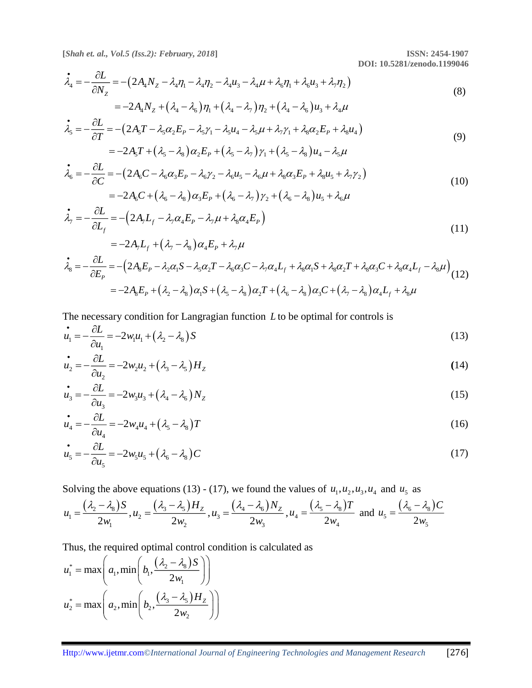**DOI: 10.5281/zenodo.1199046**

$$
\dot{\lambda}_4 = -\frac{\partial L}{\partial N_Z} = -(2A_4N_Z - \lambda_4\eta_1 - \lambda_4\eta_2 - \lambda_4u_3 - \lambda_4\mu + \lambda_6\eta_1 + \lambda_6u_3 + \lambda_7\eta_2)
$$
  
= -2A\_4N\_Z + (\lambda\_4 - \lambda\_6)\eta\_1 + (\lambda\_4 - \lambda\_7)\eta\_2 + (\lambda\_4 - \lambda\_6)u\_3 + \lambda\_4\mu (8)

$$
\dot{\lambda}_5 = -\frac{\partial L}{\partial T} = -(2A_5T - \lambda_5\alpha_2 E_p - \lambda_5\gamma_1 - \lambda_5\mu_4 - \lambda_5\mu + \lambda_7\gamma_1 + \lambda_8\alpha_2 E_p + \lambda_8\mu_4)
$$
  
= -2A\_5T + (\lambda\_5 - \lambda\_8)\alpha\_2 E\_p + (\lambda\_5 - \lambda\_7)\gamma\_1 + (\lambda\_5 - \lambda\_8)\mu\_4 - \lambda\_5\mu

$$
\dot{\lambda}_6 = -\frac{\partial L}{\partial C} = -(2A_6C - \lambda_6\alpha_3E_p - \lambda_6\gamma_2 - \lambda_6\mu_5 - \lambda_6\mu + \lambda_8\alpha_3E_p + \lambda_8\mu_5 + \lambda_7\gamma_2)
$$
  
= -2A\_6C + (\lambda\_6 - \lambda\_8)\alpha\_3E\_p + (\lambda\_6 - \lambda\_7)\gamma\_2 + (\lambda\_6 - \lambda\_8)\mu\_5 + \lambda\_6\mu (10)

$$
\begin{aligned}\n\dot{\lambda}_7 &= -\frac{\partial L}{\partial L_f} = -\left(2A_7L_f - \lambda_7\alpha_4 E_p - \lambda_7\mu + \lambda_8\alpha_4 E_p\right) \\
&= -2A_7L_f + \left(\lambda_7 - \lambda_8\right)\alpha_4 E_p + \lambda_7\mu\n\end{aligned}
$$
\n(11)

$$
\tilde{\lambda}_8 = -\frac{\partial L}{\partial E_P} = -\left(2A_8E_P - \lambda_2\alpha_1S - \lambda_5\alpha_2T - \lambda_6\alpha_3C - \lambda_7\alpha_4L_f + \lambda_8\alpha_1S + \lambda_8\alpha_2T + \lambda_8\alpha_3C + \lambda_8\alpha_4L_f - \lambda_8\mu\right)
$$
\n
$$
= -2A_8E_P + (\lambda_2 - \lambda_8)\alpha_1S + (\lambda_5 - \lambda_8)\alpha_2T + (\lambda_6 - \lambda_8)\alpha_3C + (\lambda_7 - \lambda_8)\alpha_4L_f + \lambda_8\mu
$$
\n(12)

The necessary condition for Langragian function *L* to be optimal for controls is

$$
\dot{u}_1 = -\frac{\partial L}{\partial u_1} = -2w_1u_1 + (\lambda_2 - \lambda_8)S\tag{13}
$$

$$
\dot{u}_2 = -\frac{\partial L}{\partial u_2} = -2w_2u_2 + (\lambda_3 - \lambda_5)H_Z
$$
\n(14)

$$
\dot{u}_3 = -\frac{\partial L}{\partial u_3} = -2w_3u_3 + (\lambda_4 - \lambda_6)N_Z
$$
\n(15)

$$
\dot{u}_4 = -\frac{\partial L}{\partial u_4} = -2w_4 u_4 + (\lambda_5 - \lambda_8)T\tag{16}
$$

$$
\dot{u}_5 = -\frac{\partial L}{\partial u_5} = -2w_5u_5 + (\lambda_6 - \lambda_8)C\tag{17}
$$

Solving the above equations (13) - (17), we found the values of  $u_1, u_2, u_3, u_4$  and  $u_5$  as

$$
u_1 = \frac{(\lambda_2 - \lambda_8)S}{2w_1}, u_2 = \frac{(\lambda_3 - \lambda_5)H_z}{2w_2}, u_3 = \frac{(\lambda_4 - \lambda_6)N_z}{2w_3}, u_4 = \frac{(\lambda_5 - \lambda_8)T}{2w_4} \text{ and } u_5 = \frac{(\lambda_6 - \lambda_8)C}{2w_5}
$$

Thus, the required optimal control condition is calculated as

$$
u_1^* = \max\left(a_1, \min\left(b_1, \frac{(\lambda_2 - \lambda_3)S}{2w_1}\right)\right)
$$

$$
u_2^* = \max\left(a_2, \min\left(b_2, \frac{(\lambda_3 - \lambda_5)H_Z}{2w_2}\right)\right)
$$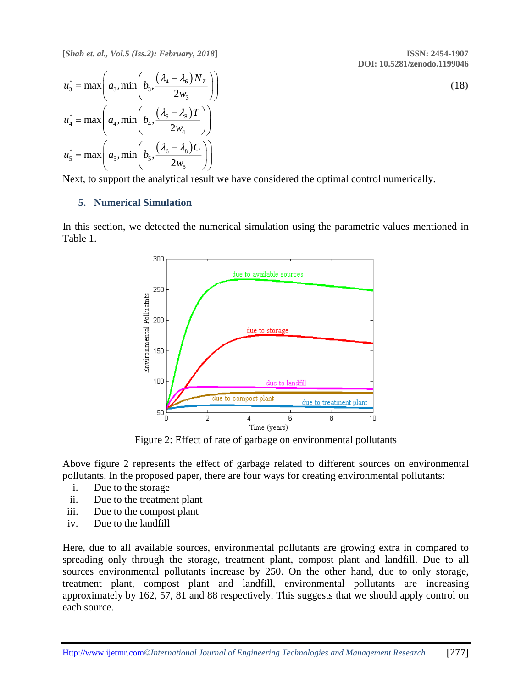**DOI: 10.5281/zenodo.1199046**

(18)

$$
u_3^* = \max\left(a_3, \min\left(b_3, \frac{(\lambda_4 - \lambda_6)N_Z}{2w_3}\right)\right)
$$
  

$$
u_4^* = \max\left(a_4, \min\left(b_4, \frac{(\lambda_5 - \lambda_8)T}{2w_4}\right)\right)
$$
  

$$
u_5^* = \max\left(a_5, \min\left(b_5, \frac{(\lambda_6 - \lambda_8)C}{2w_5}\right)\right)
$$

Next, to support the analytical result we have considered the optimal control numerically.

# **5. Numerical Simulation**

In this section, we detected the numerical simulation using the parametric values mentioned in Table 1.



Figure 2: Effect of rate of garbage on environmental pollutants

Above figure 2 represents the effect of garbage related to different sources on environmental pollutants. In the proposed paper, there are four ways for creating environmental pollutants:

- i. Due to the storage
- ii. Due to the treatment plant
- iii. Due to the compost plant
- iv. Due to the landfill

Here, due to all available sources, environmental pollutants are growing extra in compared to spreading only through the storage, treatment plant, compost plant and landfill. Due to all sources environmental pollutants increase by 250. On the other hand, due to only storage, treatment plant, compost plant and landfill, environmental pollutants are increasing approximately by 162, 57, 81 and 88 respectively. This suggests that we should apply control on each source.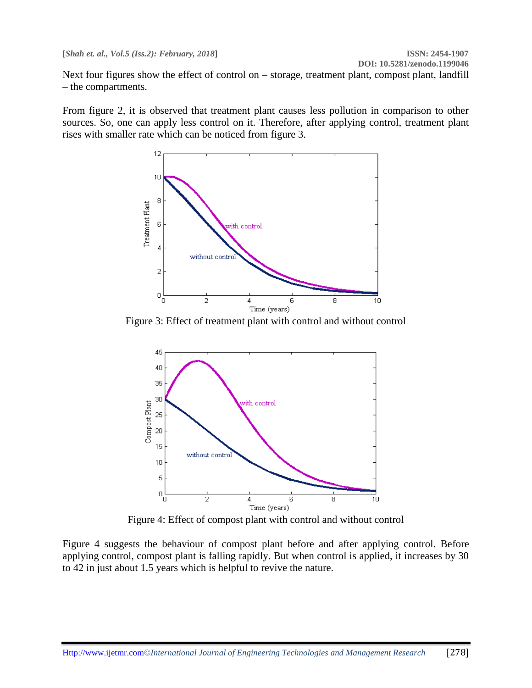Next four figures show the effect of control on – storage, treatment plant, compost plant, landfill – the compartments.

From figure 2, it is observed that treatment plant causes less pollution in comparison to other sources. So, one can apply less control on it. Therefore, after applying control, treatment plant rises with smaller rate which can be noticed from figure 3.



Figure 3: Effect of treatment plant with control and without control



Figure 4: Effect of compost plant with control and without control

Figure 4 suggests the behaviour of compost plant before and after applying control. Before applying control, compost plant is falling rapidly. But when control is applied, it increases by 30 to 42 in just about 1.5 years which is helpful to revive the nature.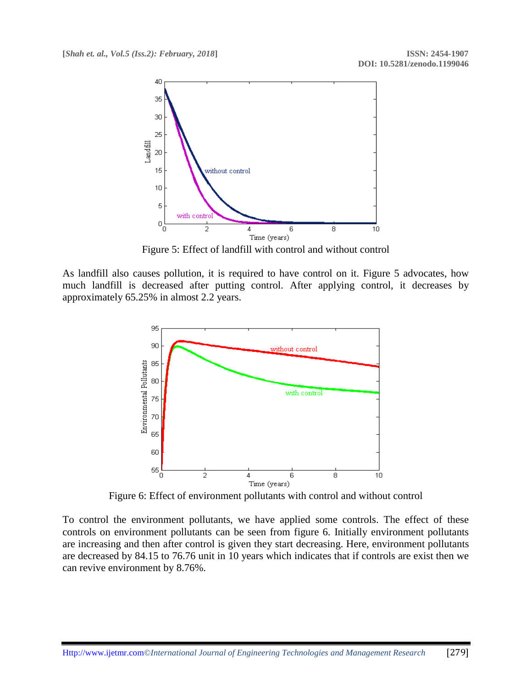

Figure 5: Effect of landfill with control and without control

As landfill also causes pollution, it is required to have control on it. Figure 5 advocates, how much landfill is decreased after putting control. After applying control, it decreases by approximately 65.25% in almost 2.2 years.



Figure 6: Effect of environment pollutants with control and without control

To control the environment pollutants, we have applied some controls. The effect of these controls on environment pollutants can be seen from figure 6. Initially environment pollutants are increasing and then after control is given they start decreasing. Here, environment pollutants are decreased by 84.15 to 76.76 unit in 10 years which indicates that if controls are exist then we can revive environment by 8.76%.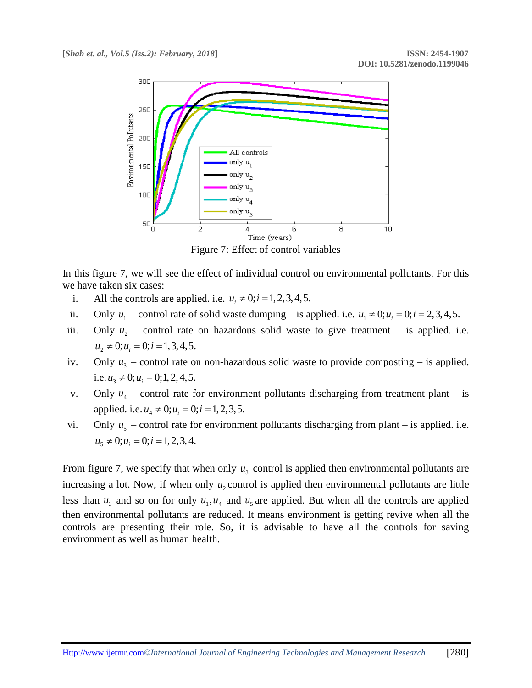

Figure 7: Effect of control variables

In this figure 7, we will see the effect of individual control on environmental pollutants. For this we have taken six cases:

- i. All the controls are applied. i.e.  $u_i \neq 0; i = 1, 2, 3, 4, 5$ .
- ii. Only  $u_1$  control rate of solid waste dumping is applied. i.e.  $u_1 \neq 0; u_i = 0; i = 2, 3, 4, 5$ .
- iii. Only  $u_2$  control rate on hazardous solid waste to give treatment is applied. i.e.  $u_2 \neq 0; u_i = 0; i = 1, 3, 4, 5.$
- iv. Only  $u_3$  control rate on non-hazardous solid waste to provide composting is applied. i.e.  $u_3 \neq 0; u_i = 0; 1, 2, 4, 5$ .
- v. Only  $u_4$  control rate for environment pollutants discharging from treatment plant is applied. i.e.  $u_4 \neq 0; u_i = 0; i = 1, 2, 3, 5$ .
- vi. Only  $u_5$  control rate for environment pollutants discharging from plant is applied. i.e.  $u_5 \neq 0; u_i = 0; i = 1, 2, 3, 4.$

From figure 7, we specify that when only  $u_3$  control is applied then environmental pollutants are increasing a lot. Now, if when only  $u_2$  control is applied then environmental pollutants are little less than  $u_3$  and so on for only  $u_1, u_4$  and  $u_5$  are applied. But when all the controls are applied then environmental pollutants are reduced. It means environment is getting revive when all the controls are presenting their role. So, it is advisable to have all the controls for saving environment as well as human health.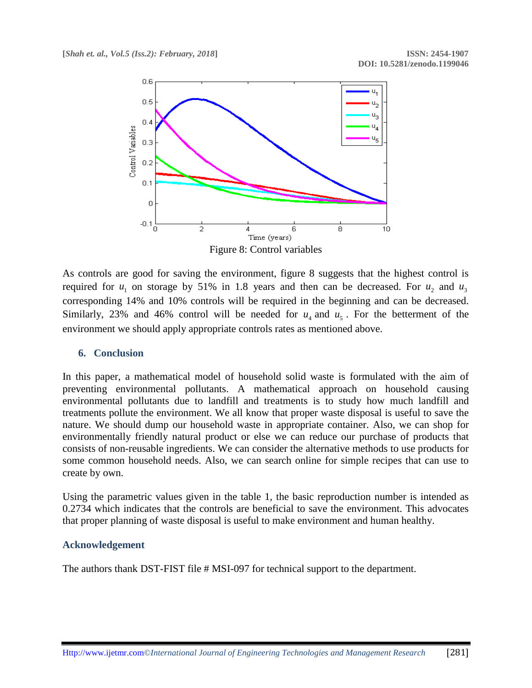

Figure 8: Control variables

As controls are good for saving the environment, figure 8 suggests that the highest control is required for  $u_1$  on storage by 51% in 1.8 years and then can be decreased. For  $u_2$  and  $u_3$ corresponding 14% and 10% controls will be required in the beginning and can be decreased. Similarly, 23% and 46% control will be needed for  $u_4$  and  $u_5$ . For the betterment of the environment we should apply appropriate controls rates as mentioned above.

# **6. Conclusion**

In this paper, a mathematical model of household solid waste is formulated with the aim of preventing environmental pollutants. A mathematical approach on household causing environmental pollutants due to landfill and treatments is to study how much landfill and treatments pollute the environment. We all know that proper waste disposal is useful to save the nature. We should dump our household waste in appropriate container. Also, we can shop for environmentally friendly natural product or else we can reduce our purchase of products that consists of non-reusable ingredients. We can consider the alternative methods to use products for some common household needs. Also, we can search online for simple recipes that can use to create by own.

Using the parametric values given in the table 1, the basic reproduction number is intended as 0.2734 which indicates that the controls are beneficial to save the environment. This advocates that proper planning of waste disposal is useful to make environment and human healthy.

# **Acknowledgement**

The authors thank DST-FIST file # MSI-097 for technical support to the department.